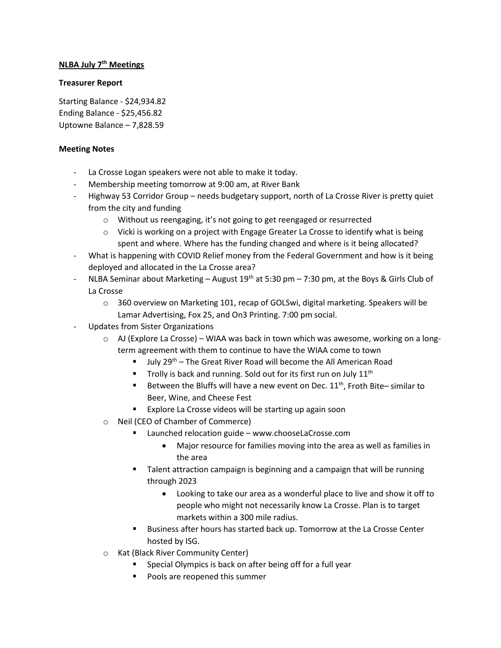## **NLBA July 7th Meetings**

## **Treasurer Report**

Starting Balance - \$24,934.82 Ending Balance - \$25,456.82 Uptowne Balance – 7,828.59

## **Meeting Notes**

- La Crosse Logan speakers were not able to make it today.
- Membership meeting tomorrow at 9:00 am, at River Bank
- Highway 53 Corridor Group needs budgetary support, north of La Crosse River is pretty quiet from the city and funding
	- o Without us reengaging, it's not going to get reengaged or resurrected
	- $\circ$  Vicki is working on a project with Engage Greater La Crosse to identify what is being spent and where. Where has the funding changed and where is it being allocated?
- What is happening with COVID Relief money from the Federal Government and how is it being deployed and allocated in the La Crosse area?
- NLBA Seminar about Marketing August 19<sup>th</sup> at 5:30 pm 7:30 pm, at the Boys & Girls Club of La Crosse
	- $\circ$  360 overview on Marketing 101, recap of GOLSwi, digital marketing. Speakers will be Lamar Advertising, Fox 25, and On3 Printing. 7:00 pm social.
- Updates from Sister Organizations
	- $\circ$  AJ (Explore La Crosse) WIAA was back in town which was awesome, working on a longterm agreement with them to continue to have the WIAA come to town
		- July 29th The Great River Road will become the All American Road
		- Trolly is back and running. Sold out for its first run on July 11<sup>th</sup>
		- Between the Bluffs will have a new event on Dec. 11<sup>th</sup>, Froth Bite-similar to Beer, Wine, and Cheese Fest
		- Explore La Crosse videos will be starting up again soon
	- o Neil (CEO of Chamber of Commerce)
		- Launched relocation guide www.chooseLaCrosse.com
			- Major resource for families moving into the area as well as families in the area
		- Talent attraction campaign is beginning and a campaign that will be running through 2023
			- Looking to take our area as a wonderful place to live and show it off to people who might not necessarily know La Crosse. Plan is to target markets within a 300 mile radius.
		- Business after hours has started back up. Tomorrow at the La Crosse Center hosted by ISG.
	- o Kat (Black River Community Center)
		- Special Olympics is back on after being off for a full year
		- **Pools are reopened this summer**